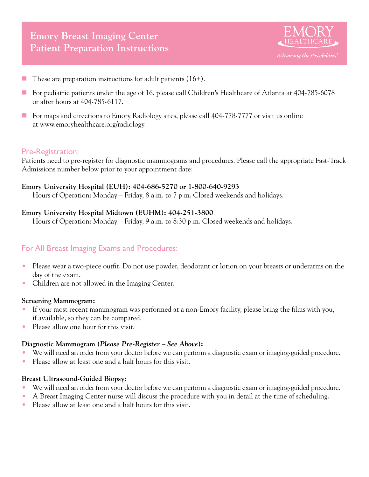

- These are preparation instructions for adult patients  $(16+)$ .
- For pediatric patients under the age of 16, please call Children's Healthcare of Atlanta at  $404-785-6078$ or after hours at 404-785-6117.
- For maps and directions to Emory Radiology sites, please call 404-778-7777 or visit us online at www.emoryhealthcare.org/radiology.

## Pre-Registration:

Patients need to pre-register for diagnostic mammograms and procedures. Please call the appropriate Fast-Track Admissions number below prior to your appointment date:

#### **Emory University Hospital (EUH): 404-686-5270 or 1-800-640-9293**

Hours of Operation: Monday – Friday, 8 a.m. to 7 p.m. Closed weekends and holidays.

## **Emory University Hospital Midtown (EUHM): 404-251-3800**

Hours of Operation: Monday – Friday, 9 a.m. to 8:30 p.m. Closed weekends and holidays.

# For All Breast Imaging Exams and Procedures:

- Please wear a two-piece outfit. Do not use powder, deodorant or lotion on your breasts or underarms on the day of the exam.
- Children are not allowed in the Imaging Center.

#### **Screening Mammogram:**

- If your most recent mammogram was performed at a non-Emory facility, please bring the films with you, if available, so they can be compared.
- Please allow one hour for this visit.

## **Diagnostic Mammogram (***Please Pre-Register – See Above***):**

- We will need an order from your doctor before we can perform a diagnostic exam or imaging-guided procedure.
- Please allow at least one and a half hours for this visit.

## **Breast Ultrasound-Guided Biopsy:**

- We will need an order from your doctor before we can perform a diagnostic exam or imaging-guided procedure.
- A Breast Imaging Center nurse will discuss the procedure with you in detail at the time of scheduling.
- Please allow at least one and a half hours for this visit.